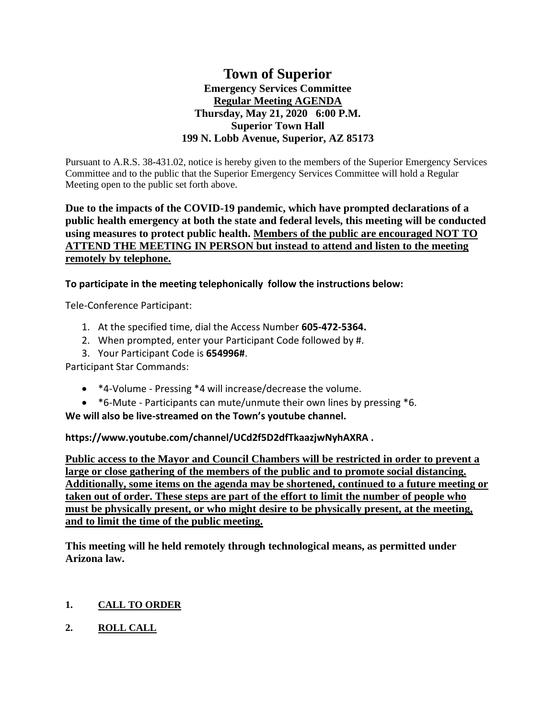# **Town of Superior Emergency Services Committee Regular Meeting AGENDA Thursday, May 21, 2020 6:00 P.M. Superior Town Hall 199 N. Lobb Avenue, Superior, AZ 85173**

Pursuant to A.R.S. 38-431.02, notice is hereby given to the members of the Superior Emergency Services Committee and to the public that the Superior Emergency Services Committee will hold a Regular Meeting open to the public set forth above.

# **Due to the impacts of the COVID-19 pandemic, which have prompted declarations of a public health emergency at both the state and federal levels, this meeting will be conducted using measures to protect public health. Members of the public are encouraged NOT TO ATTEND THE MEETING IN PERSON but instead to attend and listen to the meeting remotely by telephone.**

**To participate in the meeting telephonically follow the instructions below:**

Tele-Conference Participant:

- 1. At the specified time, dial the Access Number **605-472-5364.**
- 2. When prompted, enter your Participant Code followed by #.
- 3. Your Participant Code is **654996#**.

Participant Star Commands:

- \*4-Volume Pressing \*4 will increase/decrease the volume.
- \*6-Mute Participants can mute/unmute their own lines by pressing \*6.

**We will also be live-streamed on the Town's youtube channel.** 

**https://www.youtube.com/channel/UCd2f5D2dfTkaazjwNyhAXRA .** 

**Public access to the Mayor and Council Chambers will be restricted in order to prevent a large or close gathering of the members of the public and to promote social distancing. Additionally, some items on the agenda may be shortened, continued to a future meeting or taken out of order. These steps are part of the effort to limit the number of people who must be physically present, or who might desire to be physically present, at the meeting, and to limit the time of the public meeting.**

**This meeting will he held remotely through technological means, as permitted under Arizona law.**

# **1. CALL TO ORDER**

**2. ROLL CALL**